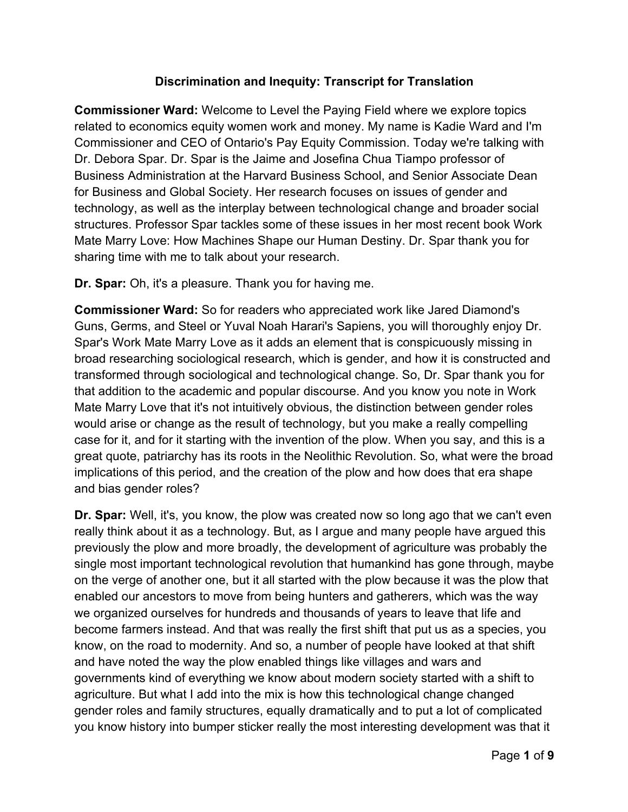# **Discrimination and Inequity: Transcript for Translation**

**Commissioner Ward:** Welcome to Level the Paying Field where we explore topics related to economics equity women work and money. My name is Kadie Ward and I'm Commissioner and CEO of Ontario's Pay Equity Commission. Today we're talking with Dr. Debora Spar. Dr. Spar is the Jaime and Josefina Chua Tiampo professor of Business Administration at the Harvard Business School, and Senior Associate Dean for Business and Global Society. Her research focuses on issues of gender and technology, as well as the interplay between technological change and broader social structures. Professor Spar tackles some of these issues in her most recent book Work Mate Marry Love: How Machines Shape our Human Destiny. Dr. Spar thank you for sharing time with me to talk about your research.

**Dr. Spar:** Oh, it's a pleasure. Thank you for having me.

**Commissioner Ward:** So for readers who appreciated work like Jared Diamond's Guns, Germs, and Steel or Yuval Noah Harari's Sapiens, you will thoroughly enjoy Dr. Spar's Work Mate Marry Love as it adds an element that is conspicuously missing in broad researching sociological research, which is gender, and how it is constructed and transformed through sociological and technological change. So, Dr. Spar thank you for that addition to the academic and popular discourse. And you know you note in Work Mate Marry Love that it's not intuitively obvious, the distinction between gender roles would arise or change as the result of technology, but you make a really compelling case for it, and for it starting with the invention of the plow. When you say, and this is a great quote, patriarchy has its roots in the Neolithic Revolution. So, what were the broad implications of this period, and the creation of the plow and how does that era shape and bias gender roles?

**Dr. Spar:** Well, it's, you know, the plow was created now so long ago that we can't even really think about it as a technology. But, as I argue and many people have argued this previously the plow and more broadly, the development of agriculture was probably the single most important technological revolution that humankind has gone through, maybe on the verge of another one, but it all started with the plow because it was the plow that enabled our ancestors to move from being hunters and gatherers, which was the way we organized ourselves for hundreds and thousands of years to leave that life and become farmers instead. And that was really the first shift that put us as a species, you know, on the road to modernity. And so, a number of people have looked at that shift and have noted the way the plow enabled things like villages and wars and governments kind of everything we know about modern society started with a shift to agriculture. But what I add into the mix is how this technological change changed gender roles and family structures, equally dramatically and to put a lot of complicated you know history into bumper sticker really the most interesting development was that it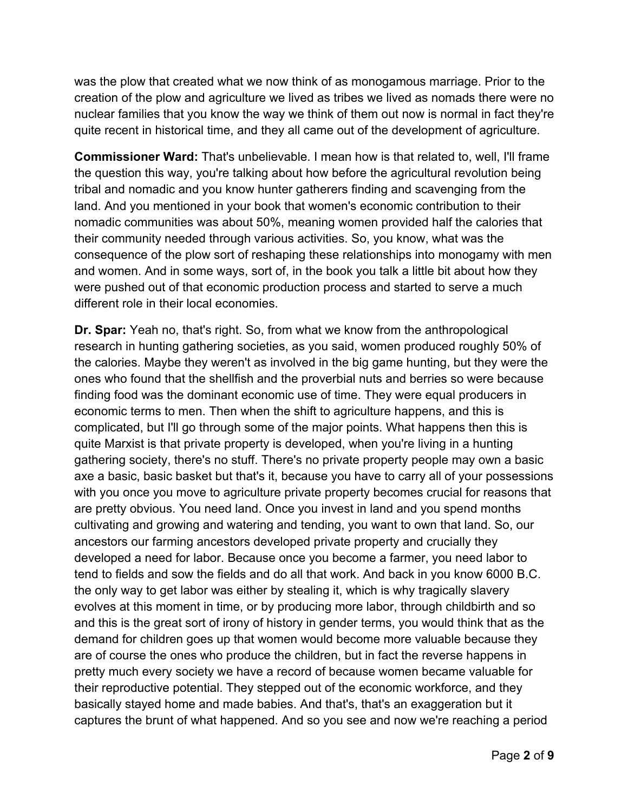was the plow that created what we now think of as monogamous marriage. Prior to the creation of the plow and agriculture we lived as tribes we lived as nomads there were no nuclear families that you know the way we think of them out now is normal in fact they're quite recent in historical time, and they all came out of the development of agriculture.

**Commissioner Ward:** That's unbelievable. I mean how is that related to, well, I'll frame the question this way, you're talking about how before the agricultural revolution being tribal and nomadic and you know hunter gatherers finding and scavenging from the land. And you mentioned in your book that women's economic contribution to their nomadic communities was about 50%, meaning women provided half the calories that their community needed through various activities. So, you know, what was the consequence of the plow sort of reshaping these relationships into monogamy with men and women. And in some ways, sort of, in the book you talk a little bit about how they were pushed out of that economic production process and started to serve a much different role in their local economies.

**Dr. Spar:** Yeah no, that's right. So, from what we know from the anthropological research in hunting gathering societies, as you said, women produced roughly 50% of the calories. Maybe they weren't as involved in the big game hunting, but they were the ones who found that the shellfish and the proverbial nuts and berries so were because finding food was the dominant economic use of time. They were equal producers in economic terms to men. Then when the shift to agriculture happens, and this is complicated, but I'll go through some of the major points. What happens then this is quite Marxist is that private property is developed, when you're living in a hunting gathering society, there's no stuff. There's no private property people may own a basic axe a basic, basic basket but that's it, because you have to carry all of your possessions with you once you move to agriculture private property becomes crucial for reasons that are pretty obvious. You need land. Once you invest in land and you spend months cultivating and growing and watering and tending, you want to own that land. So, our ancestors our farming ancestors developed private property and crucially they developed a need for labor. Because once you become a farmer, you need labor to tend to fields and sow the fields and do all that work. And back in you know 6000 B.C. the only way to get labor was either by stealing it, which is why tragically slavery evolves at this moment in time, or by producing more labor, through childbirth and so and this is the great sort of irony of history in gender terms, you would think that as the demand for children goes up that women would become more valuable because they are of course the ones who produce the children, but in fact the reverse happens in pretty much every society we have a record of because women became valuable for their reproductive potential. They stepped out of the economic workforce, and they basically stayed home and made babies. And that's, that's an exaggeration but it captures the brunt of what happened. And so you see and now we're reaching a period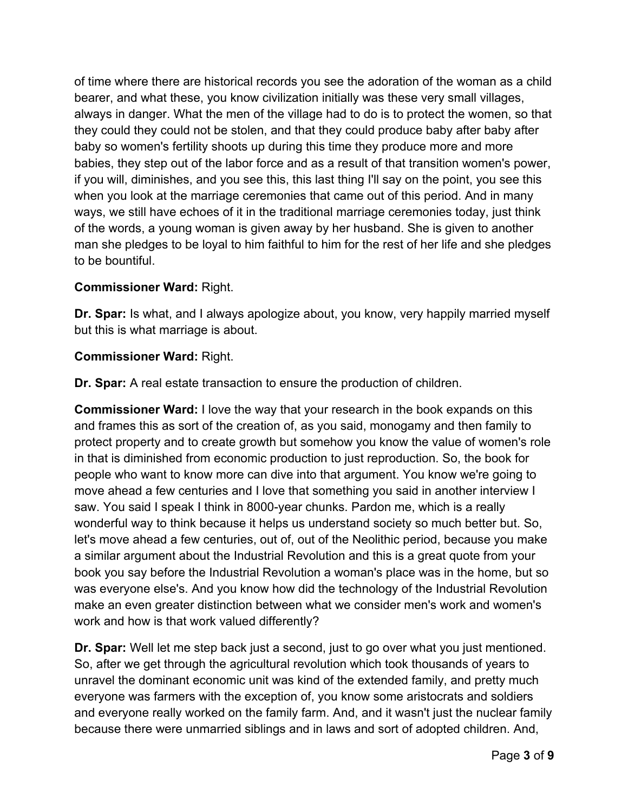of time where there are historical records you see the adoration of the woman as a child bearer, and what these, you know civilization initially was these very small villages, always in danger. What the men of the village had to do is to protect the women, so that they could they could not be stolen, and that they could produce baby after baby after baby so women's fertility shoots up during this time they produce more and more babies, they step out of the labor force and as a result of that transition women's power, if you will, diminishes, and you see this, this last thing I'll say on the point, you see this when you look at the marriage ceremonies that came out of this period. And in many ways, we still have echoes of it in the traditional marriage ceremonies today, just think of the words, a young woman is given away by her husband. She is given to another man she pledges to be loyal to him faithful to him for the rest of her life and she pledges to be bountiful.

# **Commissioner Ward:** Right.

**Dr. Spar:** Is what, and I always apologize about, you know, very happily married myself but this is what marriage is about.

## **Commissioner Ward:** Right.

**Dr. Spar:** A real estate transaction to ensure the production of children.

**Commissioner Ward:** I love the way that your research in the book expands on this and frames this as sort of the creation of, as you said, monogamy and then family to protect property and to create growth but somehow you know the value of women's role in that is diminished from economic production to just reproduction. So, the book for people who want to know more can dive into that argument. You know we're going to move ahead a few centuries and I love that something you said in another interview I saw. You said I speak I think in 8000-year chunks. Pardon me, which is a really wonderful way to think because it helps us understand society so much better but. So, let's move ahead a few centuries, out of, out of the Neolithic period, because you make a similar argument about the Industrial Revolution and this is a great quote from your book you say before the Industrial Revolution a woman's place was in the home, but so was everyone else's. And you know how did the technology of the Industrial Revolution make an even greater distinction between what we consider men's work and women's work and how is that work valued differently?

**Dr. Spar:** Well let me step back just a second, just to go over what you just mentioned. So, after we get through the agricultural revolution which took thousands of years to unravel the dominant economic unit was kind of the extended family, and pretty much everyone was farmers with the exception of, you know some aristocrats and soldiers and everyone really worked on the family farm. And, and it wasn't just the nuclear family because there were unmarried siblings and in laws and sort of adopted children. And,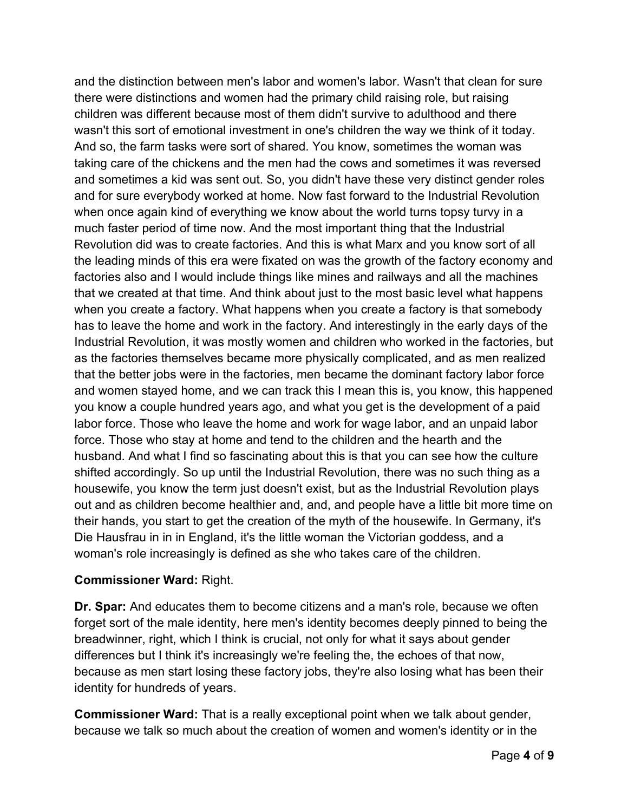and the distinction between men's labor and women's labor. Wasn't that clean for sure there were distinctions and women had the primary child raising role, but raising children was different because most of them didn't survive to adulthood and there wasn't this sort of emotional investment in one's children the way we think of it today. And so, the farm tasks were sort of shared. You know, sometimes the woman was taking care of the chickens and the men had the cows and sometimes it was reversed and sometimes a kid was sent out. So, you didn't have these very distinct gender roles and for sure everybody worked at home. Now fast forward to the Industrial Revolution when once again kind of everything we know about the world turns topsy turvy in a much faster period of time now. And the most important thing that the Industrial Revolution did was to create factories. And this is what Marx and you know sort of all the leading minds of this era were fixated on was the growth of the factory economy and factories also and I would include things like mines and railways and all the machines that we created at that time. And think about just to the most basic level what happens when you create a factory. What happens when you create a factory is that somebody has to leave the home and work in the factory. And interestingly in the early days of the Industrial Revolution, it was mostly women and children who worked in the factories, but as the factories themselves became more physically complicated, and as men realized that the better jobs were in the factories, men became the dominant factory labor force and women stayed home, and we can track this I mean this is, you know, this happened you know a couple hundred years ago, and what you get is the development of a paid labor force. Those who leave the home and work for wage labor, and an unpaid labor force. Those who stay at home and tend to the children and the hearth and the husband. And what I find so fascinating about this is that you can see how the culture shifted accordingly. So up until the Industrial Revolution, there was no such thing as a housewife, you know the term just doesn't exist, but as the Industrial Revolution plays out and as children become healthier and, and, and people have a little bit more time on their hands, you start to get the creation of the myth of the housewife. In Germany, it's Die Hausfrau in in in England, it's the little woman the Victorian goddess, and a woman's role increasingly is defined as she who takes care of the children.

# **Commissioner Ward:** Right.

**Dr. Spar:** And educates them to become citizens and a man's role, because we often forget sort of the male identity, here men's identity becomes deeply pinned to being the breadwinner, right, which I think is crucial, not only for what it says about gender differences but I think it's increasingly we're feeling the, the echoes of that now, because as men start losing these factory jobs, they're also losing what has been their identity for hundreds of years.

**Commissioner Ward:** That is a really exceptional point when we talk about gender, because we talk so much about the creation of women and women's identity or in the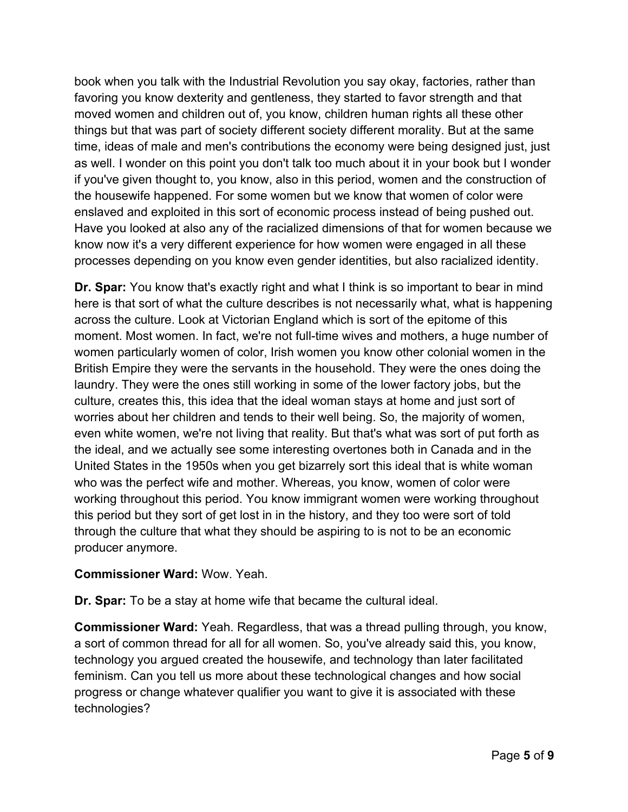book when you talk with the Industrial Revolution you say okay, factories, rather than favoring you know dexterity and gentleness, they started to favor strength and that moved women and children out of, you know, children human rights all these other things but that was part of society different society different morality. But at the same time, ideas of male and men's contributions the economy were being designed just, just as well. I wonder on this point you don't talk too much about it in your book but I wonder if you've given thought to, you know, also in this period, women and the construction of the housewife happened. For some women but we know that women of color were enslaved and exploited in this sort of economic process instead of being pushed out. Have you looked at also any of the racialized dimensions of that for women because we know now it's a very different experience for how women were engaged in all these processes depending on you know even gender identities, but also racialized identity.

**Dr. Spar:** You know that's exactly right and what I think is so important to bear in mind here is that sort of what the culture describes is not necessarily what, what is happening across the culture. Look at Victorian England which is sort of the epitome of this moment. Most women. In fact, we're not full-time wives and mothers, a huge number of women particularly women of color, Irish women you know other colonial women in the British Empire they were the servants in the household. They were the ones doing the laundry. They were the ones still working in some of the lower factory jobs, but the culture, creates this, this idea that the ideal woman stays at home and just sort of worries about her children and tends to their well being. So, the majority of women, even white women, we're not living that reality. But that's what was sort of put forth as the ideal, and we actually see some interesting overtones both in Canada and in the United States in the 1950s when you get bizarrely sort this ideal that is white woman who was the perfect wife and mother. Whereas, you know, women of color were working throughout this period. You know immigrant women were working throughout this period but they sort of get lost in in the history, and they too were sort of told through the culture that what they should be aspiring to is not to be an economic producer anymore.

## **Commissioner Ward:** Wow. Yeah.

**Dr. Spar:** To be a stay at home wife that became the cultural ideal.

**Commissioner Ward:** Yeah. Regardless, that was a thread pulling through, you know, a sort of common thread for all for all women. So, you've already said this, you know, technology you argued created the housewife, and technology than later facilitated feminism. Can you tell us more about these technological changes and how social progress or change whatever qualifier you want to give it is associated with these technologies?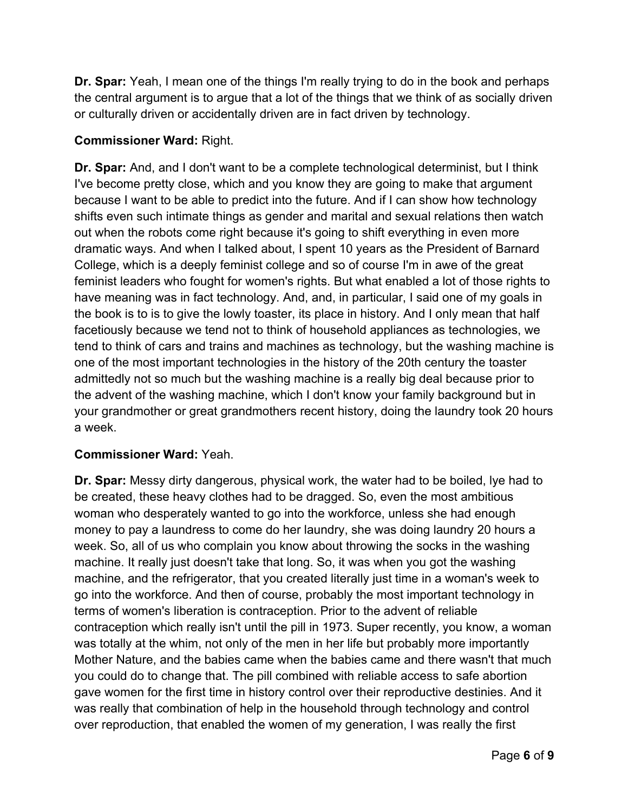**Dr. Spar:** Yeah, I mean one of the things I'm really trying to do in the book and perhaps the central argument is to argue that a lot of the things that we think of as socially driven or culturally driven or accidentally driven are in fact driven by technology.

# **Commissioner Ward:** Right.

**Dr. Spar:** And, and I don't want to be a complete technological determinist, but I think I've become pretty close, which and you know they are going to make that argument because I want to be able to predict into the future. And if I can show how technology shifts even such intimate things as gender and marital and sexual relations then watch out when the robots come right because it's going to shift everything in even more dramatic ways. And when I talked about, I spent 10 years as the President of Barnard College, which is a deeply feminist college and so of course I'm in awe of the great feminist leaders who fought for women's rights. But what enabled a lot of those rights to have meaning was in fact technology. And, and, in particular, I said one of my goals in the book is to is to give the lowly toaster, its place in history. And I only mean that half facetiously because we tend not to think of household appliances as technologies, we tend to think of cars and trains and machines as technology, but the washing machine is one of the most important technologies in the history of the 20th century the toaster admittedly not so much but the washing machine is a really big deal because prior to the advent of the washing machine, which I don't know your family background but in your grandmother or great grandmothers recent history, doing the laundry took 20 hours a week.

# **Commissioner Ward:** Yeah.

**Dr. Spar:** Messy dirty dangerous, physical work, the water had to be boiled, lye had to be created, these heavy clothes had to be dragged. So, even the most ambitious woman who desperately wanted to go into the workforce, unless she had enough money to pay a laundress to come do her laundry, she was doing laundry 20 hours a week. So, all of us who complain you know about throwing the socks in the washing machine. It really just doesn't take that long. So, it was when you got the washing machine, and the refrigerator, that you created literally just time in a woman's week to go into the workforce. And then of course, probably the most important technology in terms of women's liberation is contraception. Prior to the advent of reliable contraception which really isn't until the pill in 1973. Super recently, you know, a woman was totally at the whim, not only of the men in her life but probably more importantly Mother Nature, and the babies came when the babies came and there wasn't that much you could do to change that. The pill combined with reliable access to safe abortion gave women for the first time in history control over their reproductive destinies. And it was really that combination of help in the household through technology and control over reproduction, that enabled the women of my generation, I was really the first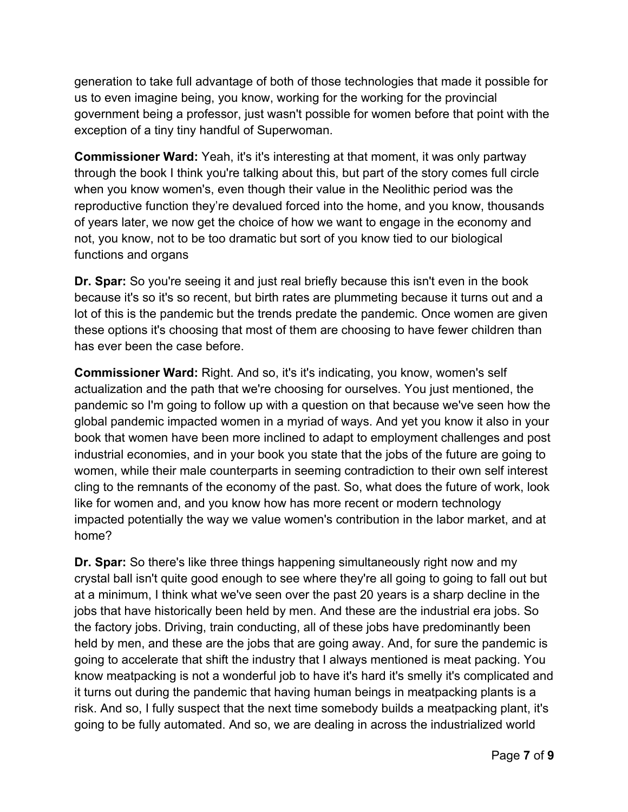generation to take full advantage of both of those technologies that made it possible for us to even imagine being, you know, working for the working for the provincial government being a professor, just wasn't possible for women before that point with the exception of a tiny tiny handful of Superwoman.

**Commissioner Ward:** Yeah, it's it's interesting at that moment, it was only partway through the book I think you're talking about this, but part of the story comes full circle when you know women's, even though their value in the Neolithic period was the reproductive function they're devalued forced into the home, and you know, thousands of years later, we now get the choice of how we want to engage in the economy and not, you know, not to be too dramatic but sort of you know tied to our biological functions and organs

**Dr. Spar:** So you're seeing it and just real briefly because this isn't even in the book because it's so it's so recent, but birth rates are plummeting because it turns out and a lot of this is the pandemic but the trends predate the pandemic. Once women are given these options it's choosing that most of them are choosing to have fewer children than has ever been the case before.

**Commissioner Ward:** Right. And so, it's it's indicating, you know, women's self actualization and the path that we're choosing for ourselves. You just mentioned, the pandemic so I'm going to follow up with a question on that because we've seen how the global pandemic impacted women in a myriad of ways. And yet you know it also in your book that women have been more inclined to adapt to employment challenges and post industrial economies, and in your book you state that the jobs of the future are going to women, while their male counterparts in seeming contradiction to their own self interest cling to the remnants of the economy of the past. So, what does the future of work, look like for women and, and you know how has more recent or modern technology impacted potentially the way we value women's contribution in the labor market, and at home?

**Dr. Spar:** So there's like three things happening simultaneously right now and my crystal ball isn't quite good enough to see where they're all going to going to fall out but at a minimum, I think what we've seen over the past 20 years is a sharp decline in the jobs that have historically been held by men. And these are the industrial era jobs. So the factory jobs. Driving, train conducting, all of these jobs have predominantly been held by men, and these are the jobs that are going away. And, for sure the pandemic is going to accelerate that shift the industry that I always mentioned is meat packing. You know meatpacking is not a wonderful job to have it's hard it's smelly it's complicated and it turns out during the pandemic that having human beings in meatpacking plants is a risk. And so, I fully suspect that the next time somebody builds a meatpacking plant, it's going to be fully automated. And so, we are dealing in across the industrialized world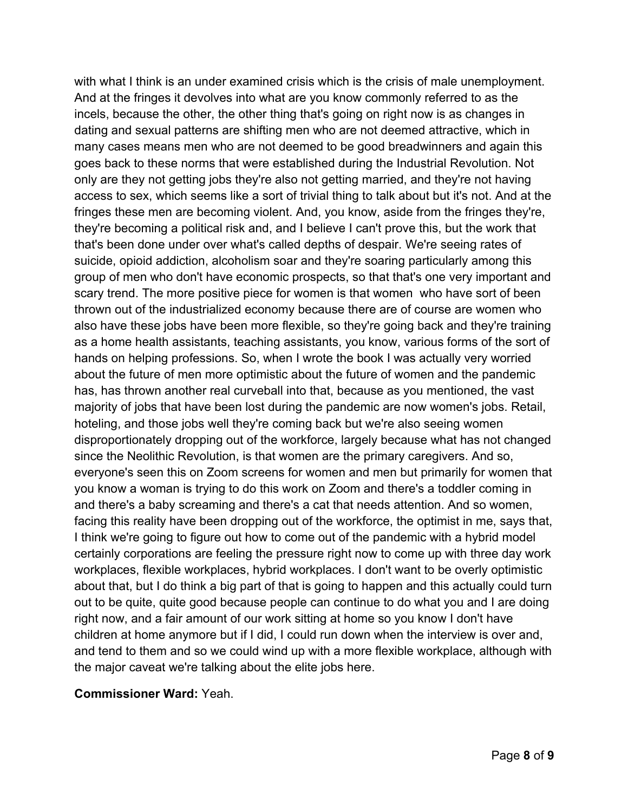with what I think is an under examined crisis which is the crisis of male unemployment. And at the fringes it devolves into what are you know commonly referred to as the incels, because the other, the other thing that's going on right now is as changes in dating and sexual patterns are shifting men who are not deemed attractive, which in many cases means men who are not deemed to be good breadwinners and again this goes back to these norms that were established during the Industrial Revolution. Not only are they not getting jobs they're also not getting married, and they're not having access to sex, which seems like a sort of trivial thing to talk about but it's not. And at the fringes these men are becoming violent. And, you know, aside from the fringes they're, they're becoming a political risk and, and I believe I can't prove this, but the work that that's been done under over what's called depths of despair. We're seeing rates of suicide, opioid addiction, alcoholism soar and they're soaring particularly among this group of men who don't have economic prospects, so that that's one very important and scary trend. The more positive piece for women is that women who have sort of been thrown out of the industrialized economy because there are of course are women who also have these jobs have been more flexible, so they're going back and they're training as a home health assistants, teaching assistants, you know, various forms of the sort of hands on helping professions. So, when I wrote the book I was actually very worried about the future of men more optimistic about the future of women and the pandemic has, has thrown another real curveball into that, because as you mentioned, the vast majority of jobs that have been lost during the pandemic are now women's jobs. Retail, hoteling, and those jobs well they're coming back but we're also seeing women disproportionately dropping out of the workforce, largely because what has not changed since the Neolithic Revolution, is that women are the primary caregivers. And so, everyone's seen this on Zoom screens for women and men but primarily for women that you know a woman is trying to do this work on Zoom and there's a toddler coming in and there's a baby screaming and there's a cat that needs attention. And so women, facing this reality have been dropping out of the workforce, the optimist in me, says that, I think we're going to figure out how to come out of the pandemic with a hybrid model certainly corporations are feeling the pressure right now to come up with three day work workplaces, flexible workplaces, hybrid workplaces. I don't want to be overly optimistic about that, but I do think a big part of that is going to happen and this actually could turn out to be quite, quite good because people can continue to do what you and I are doing right now, and a fair amount of our work sitting at home so you know I don't have children at home anymore but if I did, I could run down when the interview is over and, and tend to them and so we could wind up with a more flexible workplace, although with the major caveat we're talking about the elite jobs here.

### **Commissioner Ward:** Yeah.